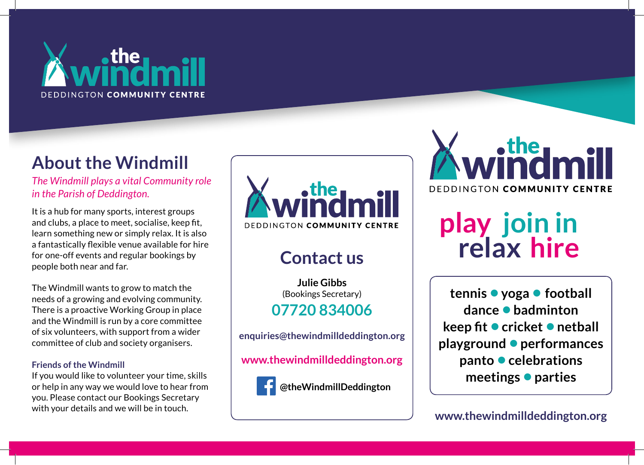

## **About the Windmill**

*The Windmill plays a vital Community role in the Parish of Deddington.*

It is a hub for many sports, interest groups and clubs, a place to meet, socialise, keep fit, learn something new or simply relax. It is also a fantastically flexible venue available for hire for one-off events and regular bookings by people both near and far.

The Windmill wants to grow to match the needs of a growing and evolving community. There is a proactive Working Group in place and the Windmill is run by a core committee of six volunteers, with support from a wider committee of club and society organisers.

#### **Friends of the Windmill**

If you would like to volunteer your time, skills or help in any way we would love to hear from you. Please contact our Bookings Secretary with your details and we will be in touch.



## **Contact us**

**Julie Gibbs** (Bookings Secretary) **07720 834006** 

**enquiries@thewindmilldeddington.org**

**www.thewindmilldeddington.org**



**@theWindmillDeddington**



# **relax hire play join in**

**tennis • yoga • football dance • badminton keep fit • cricket • netball playground • performances panto • celebrations meetings • parties**

**www.thewindmilldeddington.org**